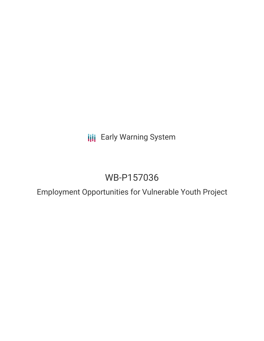**III** Early Warning System

# WB-P157036

Employment Opportunities for Vulnerable Youth Project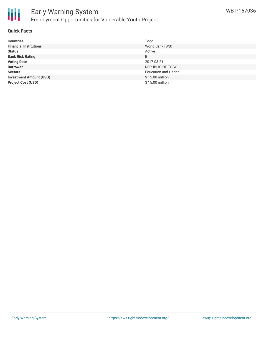

#### **Quick Facts**

| <b>Countries</b>               | Togo                        |
|--------------------------------|-----------------------------|
| <b>Financial Institutions</b>  | World Bank (WB)             |
| <b>Status</b>                  | Active                      |
| <b>Bank Risk Rating</b>        | B                           |
| <b>Voting Date</b>             | 2017-03-21                  |
| <b>Borrower</b>                | REPUBLIC OF TOGO            |
| <b>Sectors</b>                 | <b>Education and Health</b> |
| <b>Investment Amount (USD)</b> | \$15.00 million             |
| <b>Project Cost (USD)</b>      | \$15.00 million             |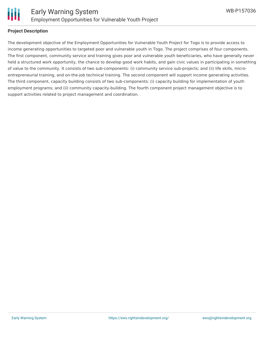

#### **Project Description**

The development objective of the Employment Opportunities for Vulnerable Youth Project for Togo is to provide access to income generating opportunities to targeted poor and vulnerable youth in Togo. The project comprises of four components. The first component, community service and training gives poor and vulnerable youth beneficiaries, who have generally never held a structured work opportunity, the chance to develop good work habits, and gain civic values in participating in something of value to the community. It consists of two sub-components: (i) community service sub-projects; and (ii) life skills, microentrepreneurial training, and on-the-job technical training. The second component will support income generating activities. The third component, capacity building consists of two sub-components: (i) capacity building for implementation of youth employment programs; and (ii) community capacity-building. The fourth component project management objective is to support activities related to project management and coordination.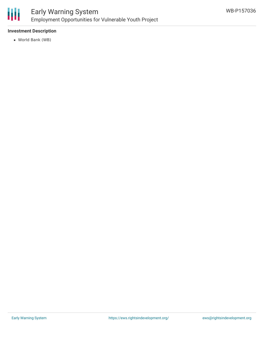

### **Investment Description**

World Bank (WB)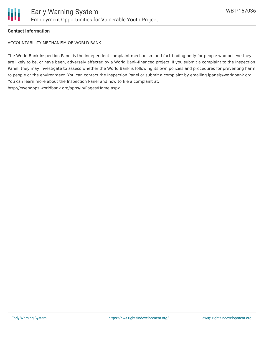

#### **Contact Information**

ACCOUNTABILITY MECHANISM OF WORLD BANK

The World Bank Inspection Panel is the independent complaint mechanism and fact-finding body for people who believe they are likely to be, or have been, adversely affected by a World Bank-financed project. If you submit a complaint to the Inspection Panel, they may investigate to assess whether the World Bank is following its own policies and procedures for preventing harm to people or the environment. You can contact the Inspection Panel or submit a complaint by emailing ipanel@worldbank.org. You can learn more about the Inspection Panel and how to file a complaint at: http://ewebapps.worldbank.org/apps/ip/Pages/Home.aspx.